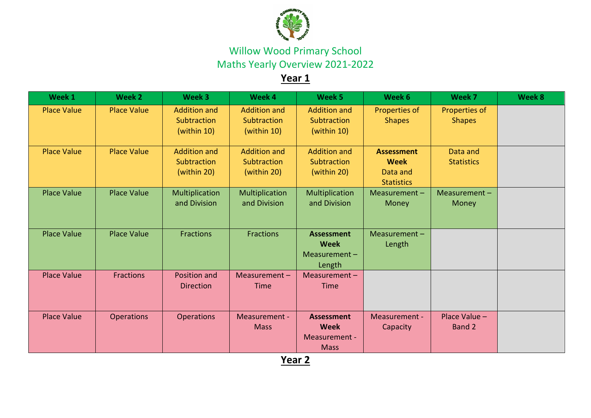

Willow Wood Primary School Maths Yearly Overview 2021-2022

## **Year 1**

| Week 1             | Week 2             | Week 3                                            | Week 4                                            | Week 5                                                           | Week 6                                                            | Week 7                         | Week 8 |
|--------------------|--------------------|---------------------------------------------------|---------------------------------------------------|------------------------------------------------------------------|-------------------------------------------------------------------|--------------------------------|--------|
| <b>Place Value</b> | <b>Place Value</b> | <b>Addition and</b><br>Subtraction<br>(within 10) | <b>Addition and</b><br>Subtraction<br>(within 10) | <b>Addition and</b><br>Subtraction<br>(within 10)                | Properties of<br><b>Shapes</b>                                    | Properties of<br><b>Shapes</b> |        |
| <b>Place Value</b> | <b>Place Value</b> | <b>Addition and</b><br>Subtraction<br>(within 20) | <b>Addition and</b><br>Subtraction<br>(within 20) | <b>Addition and</b><br>Subtraction<br>(within 20)                | <b>Assessment</b><br><b>Week</b><br>Data and<br><b>Statistics</b> | Data and<br><b>Statistics</b>  |        |
| <b>Place Value</b> | <b>Place Value</b> | Multiplication<br>and Division                    | Multiplication<br>and Division                    | Multiplication<br>and Division                                   | Measurement-<br>Money                                             | Measurement-<br>Money          |        |
| <b>Place Value</b> | <b>Place Value</b> | <b>Fractions</b>                                  | <b>Fractions</b>                                  | <b>Assessment</b><br><b>Week</b><br>Measurement-<br>Length       | Measurement $-$<br>Length                                         |                                |        |
| <b>Place Value</b> | <b>Fractions</b>   | Position and<br><b>Direction</b>                  | Measurement $-$<br><b>Time</b>                    | Measurement-<br><b>Time</b>                                      |                                                                   |                                |        |
| <b>Place Value</b> | <b>Operations</b>  | <b>Operations</b>                                 | Measurement -<br><b>Mass</b>                      | <b>Assessment</b><br><b>Week</b><br>Measurement -<br><b>Mass</b> | Measurement -<br>Capacity                                         | Place Value $-$<br>Band 2      |        |

**Year 2**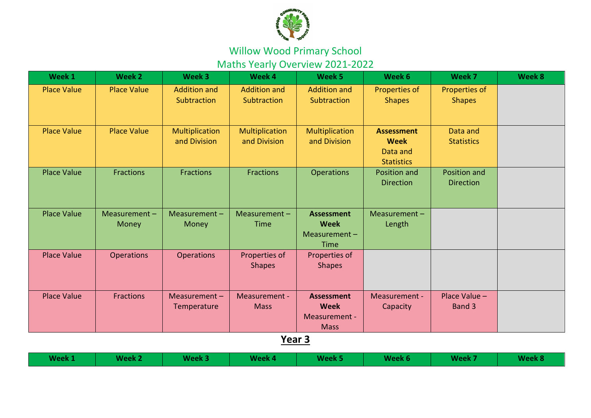

Maths Yearly Overview 2021-2022

| Week 1             | Week 2                 | Week 3                             | Week 4                             | Week 5                                                           | Week 6                                                            | Week 7                           | Week 8 |
|--------------------|------------------------|------------------------------------|------------------------------------|------------------------------------------------------------------|-------------------------------------------------------------------|----------------------------------|--------|
| <b>Place Value</b> | <b>Place Value</b>     | <b>Addition and</b><br>Subtraction | <b>Addition and</b><br>Subtraction | <b>Addition and</b><br>Subtraction                               | Properties of<br><b>Shapes</b>                                    | Properties of<br><b>Shapes</b>   |        |
| <b>Place Value</b> | <b>Place Value</b>     | Multiplication<br>and Division     | Multiplication<br>and Division     | Multiplication<br>and Division                                   | <b>Assessment</b><br><b>Week</b><br>Data and<br><b>Statistics</b> | Data and<br><b>Statistics</b>    |        |
| <b>Place Value</b> | <b>Fractions</b>       | <b>Fractions</b>                   | <b>Fractions</b>                   | <b>Operations</b>                                                | Position and<br><b>Direction</b>                                  | Position and<br><b>Direction</b> |        |
| <b>Place Value</b> | Measurement -<br>Money | Measurement-<br>Money              | Measurement $-$<br>Time            | <b>Assessment</b><br><b>Week</b><br>Measurement-<br>Time         | Measurement-<br>Length                                            |                                  |        |
| <b>Place Value</b> | <b>Operations</b>      | <b>Operations</b>                  | Properties of<br><b>Shapes</b>     | Properties of<br><b>Shapes</b>                                   |                                                                   |                                  |        |
| <b>Place Value</b> | <b>Fractions</b>       | Measurement $-$<br>Temperature     | Measurement -<br><b>Mass</b>       | <b>Assessment</b><br><b>Week</b><br>Measurement -<br><b>Mass</b> | Measurement -<br>Capacity                                         | Place Value -<br>Band 3          |        |
|                    |                        |                                    | Year 3                             |                                                                  |                                                                   |                                  |        |

| Week 1 | Week 2 | Week 3 | Week 4 | Week 5 | Week 6 | Week 7 | Week 8 |
|--------|--------|--------|--------|--------|--------|--------|--------|
|--------|--------|--------|--------|--------|--------|--------|--------|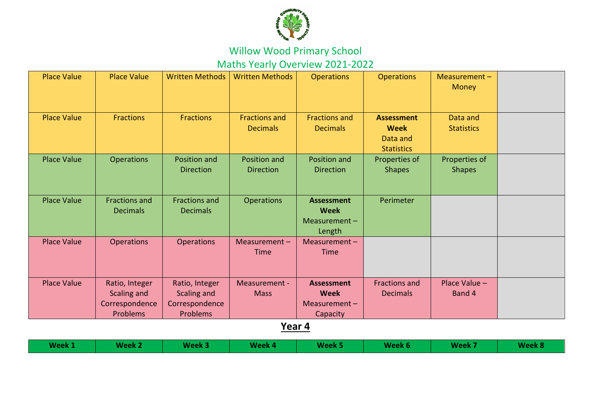

Maths Yearly Overview 2021-2022

| <b>Place Value</b> | <b>Place Value</b>                      | <b>Written Methods</b>                  | <b>Written Methods</b>                  | <b>Operations</b>                                          | <b>Operations</b>                                                 | Measurement-<br><b>Money</b>   |  |
|--------------------|-----------------------------------------|-----------------------------------------|-----------------------------------------|------------------------------------------------------------|-------------------------------------------------------------------|--------------------------------|--|
| <b>Place Value</b> | <b>Fractions</b>                        | <b>Fractions</b>                        | <b>Fractions and</b><br><b>Decimals</b> | <b>Fractions and</b><br><b>Decimals</b>                    | <b>Assessment</b><br><b>Week</b><br>Data and<br><b>Statistics</b> | Data and<br><b>Statistics</b>  |  |
| <b>Place Value</b> | <b>Operations</b>                       | Position and<br><b>Direction</b>        | Position and<br><b>Direction</b>        | Position and<br><b>Direction</b>                           | Properties of<br><b>Shapes</b>                                    | Properties of<br><b>Shapes</b> |  |
| <b>Place Value</b> | <b>Fractions and</b><br><b>Decimals</b> | <b>Fractions and</b><br><b>Decimals</b> | <b>Operations</b>                       | <b>Assessment</b><br><b>Week</b><br>Measurement-<br>Length | Perimeter                                                         |                                |  |
| <b>Place Value</b> | <b>Operations</b>                       | <b>Operations</b>                       | Measurement $-$<br>Time                 | Measurement $-$<br><b>Time</b>                             |                                                                   |                                |  |
| <b>Place Value</b> | Ratio, Integer<br>Scaling and           | Ratio, Integer<br>Scaling and           | Measurement -<br><b>Mass</b>            | <b>Assessment</b><br><b>Week</b>                           | <b>Fractions and</b><br><b>Decimals</b>                           | Place Value $-$<br>Band 4      |  |
|                    | Correspondence                          | Correspondence                          |                                         | Measurement $-$                                            |                                                                   |                                |  |
|                    | Problems                                | <b>Problems</b>                         |                                         | Capacity                                                   |                                                                   |                                |  |

**Year 4** 

T

| Week 1 | Week 2 | Week 3 | Week 4 | Week 5 | Week 6 | <b>Week 7</b> | Week 8 |
|--------|--------|--------|--------|--------|--------|---------------|--------|
|--------|--------|--------|--------|--------|--------|---------------|--------|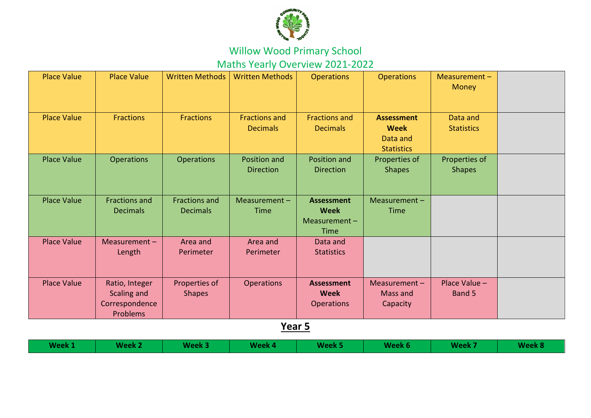

Maths Yearly Overview 2021-2022

| <b>Place Value</b> | <b>Place Value</b>                                                 | <b>Written Methods</b>                  | <b>Written Methods</b>                         | <b>Operations</b>                                               | <b>Operations</b>                                                 | Measurement-<br><b>Money</b>   |  |
|--------------------|--------------------------------------------------------------------|-----------------------------------------|------------------------------------------------|-----------------------------------------------------------------|-------------------------------------------------------------------|--------------------------------|--|
| <b>Place Value</b> | <b>Fractions</b>                                                   | <b>Fractions</b>                        | <b>Fractions and</b><br><b>Decimals</b>        | <b>Fractions and</b><br><b>Decimals</b>                         | <b>Assessment</b><br><b>Week</b><br>Data and<br><b>Statistics</b> | Data and<br><b>Statistics</b>  |  |
| <b>Place Value</b> | Operations                                                         | <b>Operations</b>                       | Position and<br><b>Direction</b>               | Position and<br><b>Direction</b>                                | Properties of<br><b>Shapes</b>                                    | Properties of<br><b>Shapes</b> |  |
| <b>Place Value</b> | <b>Fractions and</b><br><b>Decimals</b>                            | <b>Fractions and</b><br><b>Decimals</b> | Measurement-<br>Time                           | <b>Assessment</b><br><b>Week</b><br>Measurement-<br><b>Time</b> | Measurement $-$<br><b>Time</b>                                    |                                |  |
| <b>Place Value</b> | Measurement $-$<br>Length                                          | Area and<br>Perimeter                   | Area and<br>Perimeter                          | Data and<br><b>Statistics</b>                                   |                                                                   |                                |  |
| <b>Place Value</b> | Ratio, Integer<br>Scaling and<br>Correspondence<br><b>Problems</b> | Properties of<br><b>Shapes</b>          | <b>Operations</b><br>$\mathbf{v}$ $\mathbf{v}$ | <b>Assessment</b><br><b>Week</b><br><b>Operations</b>           | Measurement $-$<br>Mass and<br>Capacity                           | Place Value -<br>Band 5        |  |

**Year 5**

| Week 1<br>Week 3<br>Week 2 | Week 4 | Week 5 | Week 6 | <b>Example Week 7</b> | Week 8 |
|----------------------------|--------|--------|--------|-----------------------|--------|
|----------------------------|--------|--------|--------|-----------------------|--------|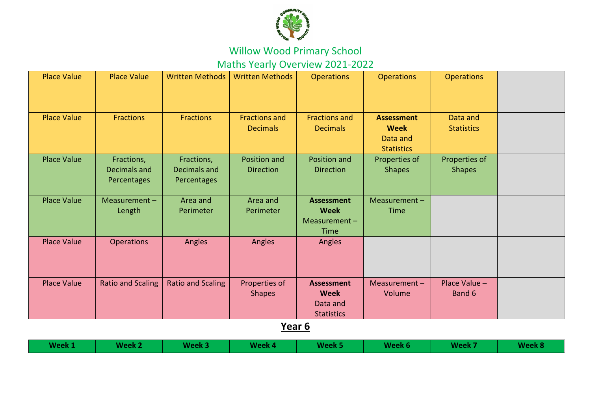

Maths Yearly Overview 2021-2022

| <b>Place Value</b> | <b>Place Value</b>                        | <b>Written Methods</b>                    | <b>Written Methods</b>                  | <b>Operations</b>                                                 | <b>Operations</b>                                                 | <b>Operations</b>              |  |
|--------------------|-------------------------------------------|-------------------------------------------|-----------------------------------------|-------------------------------------------------------------------|-------------------------------------------------------------------|--------------------------------|--|
| <b>Place Value</b> | Fractions                                 | <b>Fractions</b>                          | <b>Fractions and</b><br><b>Decimals</b> | <b>Fractions and</b><br><b>Decimals</b>                           | <b>Assessment</b><br><b>Week</b><br>Data and<br><b>Statistics</b> | Data and<br><b>Statistics</b>  |  |
| <b>Place Value</b> | Fractions,<br>Decimals and<br>Percentages | Fractions,<br>Decimals and<br>Percentages | Position and<br><b>Direction</b>        | Position and<br><b>Direction</b>                                  | Properties of<br><b>Shapes</b>                                    | Properties of<br><b>Shapes</b> |  |
| <b>Place Value</b> | Measurement $-$<br>Length                 | Area and<br>Perimeter                     | Area and<br>Perimeter                   | <b>Assessment</b><br><b>Week</b><br>Measurement-<br><b>Time</b>   | Measurement -<br>Time                                             |                                |  |
| <b>Place Value</b> | <b>Operations</b>                         | Angles                                    | Angles                                  | Angles                                                            |                                                                   |                                |  |
| <b>Place Value</b> | <b>Ratio and Scaling</b>                  | <b>Ratio and Scaling</b>                  | Properties of<br><b>Shapes</b>          | <b>Assessment</b><br><b>Week</b><br>Data and<br><b>Statistics</b> | Measurement $-$<br>Volume                                         | Place Value -<br>Band 6        |  |

**Year 6**

| Week 1 | <b>Week 2</b> | Week 3 | Week 4 | Week 5 | Week 6 | <b>Week 7</b> | Week 8 |
|--------|---------------|--------|--------|--------|--------|---------------|--------|
|--------|---------------|--------|--------|--------|--------|---------------|--------|